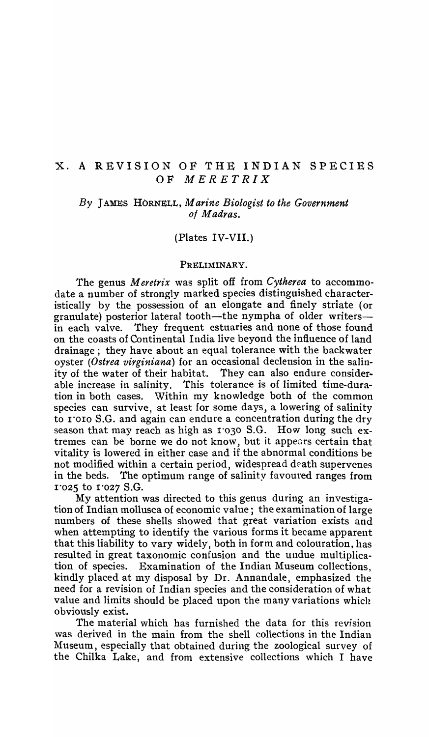# X. A REVISION OF THE INDIAN SPECIES OF *MERETRIX*

# *By* JAMES HORNELL, *Marine Biologist to the Government 01 Madras.*

### (Plates IV-VII.)

#### PRELIMINARY.

The genus *Meretrix* was split off from *Cytherea* to accommodate a number of strongly marked species distinguished characteristically by the possession of an elongate and finely striate (or granulate) posterior lateral tooth—the nympha of older writers in each valve. They frequent estuaries and none of those found on the coasts of Continental India live beyond the influence of land drainage; they have about an equal tolerance with the backwater oyster *(Ostrea virginiana)* for an occasional declension in the salinity of the water of their habitat. They can also endure considerable increase in salinity. This tolerance is of limited time-duration in both cases. Within my knowledge both of the common species can survive, at least for some days, a lowering of salinity to 1'010 S.G. and again can endure a concentration during the dry season that may reach as high as 1'030 S.G. How long such extremes can be borne we do not know, but it appears certain that vitality is lowered in either case and if the abnormal conditions be not modified within a certain period, widespread death supervenes in the beds. The optimum range of salinity favoured ranges from 1"025 to I '027 S.G.

My attention was directed to this genus during an investigation of Indian mollusca of economic value; the examination of large numbers of these shells showed that great variation exists and when attempting to identify the various forms it became apparent that this liability to vary widely, both in form and colouration, has resulted in great taxonomic confusion and the undue multiplication of species. Examination of the Indian Museum collections, kindly placed at my disposal by Dr, Annandale, emphasized the need for a revision of Indian species and the consideration of what value and limits should be placed upon the many variations which obviously exist.

The material which has furnished the data for this revision was derived in the main from the shell collections in the Indian Museum, especially that obtained during the zoological survey of the Chilka Lake, and from extensive collections which I have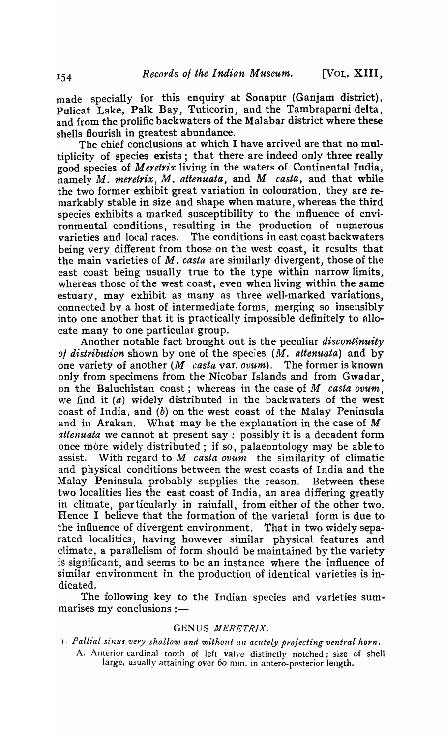made specially for this enquiry at Sonapur (Ganjam district), Pulicat Lake, Palk Bay, Tuticorin, and the Tambraparni delta, and from the prolific backwaters of the Malabar district where these shells flourish in greatest abundance.

The chief conclusions at which I have arrived are that no multiplicity of species exists; that there are indeed only three really good species of *Meretrix* living in the waters of Continental India, namely *M. meretrix, M. attenuata*, and *M casta*, and that while the two former exhibit great variation in colouration, they are remarkably stable in size and shape when mature, whereas the third species exhibits a marked susceptibility to the influence of environmental conditions, resulting in the production of numerous varieties and local races. The conditions in east coast backwaters being very different from those on the west coast, it results that the main varieties of *M. casta* are similarly divergent, those of the east coast being usually true to the type within narrow limits, whereas those of the west coast, even when living within the same estuary) may exhibit as many as three well-marked variations, connected by a host of intermediate forms, merging so insensibly into one another that it is practically impossible definitely to allocate many to one particular group.

Another notable fact brought out is the peculiar *discontinuity*  of distribution shown by one of the species (M. *attenuata*) and by one variety of another (M *casta* var. *ovum).* The former is known only from specimens from the Nicobar Islands and from  $Gwadar$ . on the Baluchistan coast; whereas in the case of  $M$  *casta ovum*, we find it  $(a)$  widely distributed in the backwaters of the west coast of India, and (b) on the west coast of the Malay Peninsula and in Arakan. What may be the explanation in the case of M *attenuata* we cannot at present say; possibly it is a decadent form once more widely distributed; if so, palaeontology may be able to assist. With regard to M *casta ovum* the similarity of climatic and physical conditions between the west coasts of India and the Malay Peninsula probably supplies the reason. Between these two localities lies the east coast of India, an area differing greatly in climate, particularly in rainfall, from either of the other two. Hence I believe that the formation of the varietal form is due to the influence of divergent environment. That in two widely separated localities, having however similar physical features and climate, a parallelism of form should be maintained by the variety is significant, and seems to be an instance where the influence of similar environment in the production of identical varieties is indicated.

The following key to the Indian species and varieties sum $marises my conclusions:$ 

### GENUS MERETRIX.

- 1. Pallial sinus very shallow and without an acutely projecting ventral horn.
	- A. Anterior cardinal tooth of left valve distinctly notched; size of shell large, usually attaining over 60 mm. in antero-posterior length.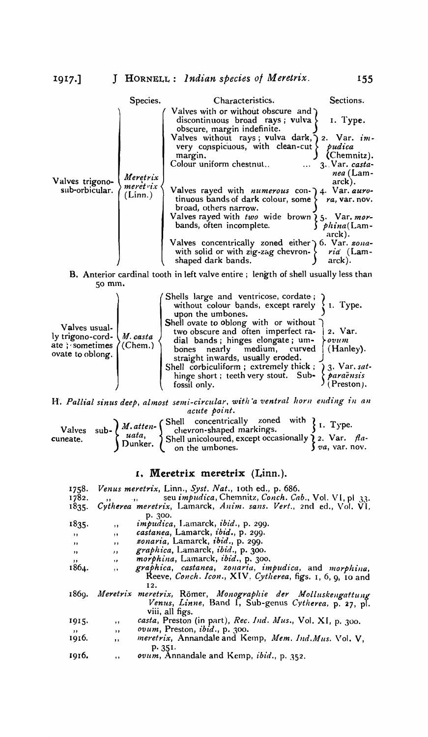|                                                                                    | Species.                                   | Characteristics.                                                                                                                                                                                                                                                                                                                                                                                                                                                                                                                                                                                                   | Sections.                                                                                                                              |
|------------------------------------------------------------------------------------|--------------------------------------------|--------------------------------------------------------------------------------------------------------------------------------------------------------------------------------------------------------------------------------------------------------------------------------------------------------------------------------------------------------------------------------------------------------------------------------------------------------------------------------------------------------------------------------------------------------------------------------------------------------------------|----------------------------------------------------------------------------------------------------------------------------------------|
| Valves trigono-<br>sub-orbicular.                                                  | Meretrix<br>$mer\acute{e}t$ rix<br>(Linn.) | Valves with or without obscure and $\lambda$<br>discontinuous broad rays; vulva $\{$<br>obscure, margin indefinite.<br>Valves without rays; vulva dark, ) 2. Var. im-<br>very conspicuous, with clean-cut $\}$<br>margin.<br>Colour uniform chestnut<br>$\ddotsc$<br>Valves rayed with <i>numerous</i> con-) 4. Var. auro-<br>tinuous bands of dark colour, some $\}$ ra, var. nov.<br>broad, others narrow.<br>Valves rayed with two wide brown ¿5. Var. mor-<br>bands, often incomplete.<br>Valves concentrically zoned either ) 6. Var. zona-<br>with solid or with zig-zag chevron- $\{$<br>shaped dark bands. | I. Type.<br>pudica<br>(Chemnitz).<br>3. Var. casta-<br>nea (Lam-<br>$arck$ ).<br>$\int$ phina(Lam-<br>arck).<br>ria (Lam-<br>$arck)$ . |
| B. Anterior cardinal tooth in left valve entire; length of shell usually less than |                                            |                                                                                                                                                                                                                                                                                                                                                                                                                                                                                                                                                                                                                    |                                                                                                                                        |
| $50$ mm.                                                                           |                                            |                                                                                                                                                                                                                                                                                                                                                                                                                                                                                                                                                                                                                    |                                                                                                                                        |
| Valves usual-<br>ly trigono-cord-<br>ate; sometimes<br>ovate to oblong.            | M. casta<br>(Chem.)                        | Shells large and ventricose, cordate;<br>without colour bands, except rarely<br>upon the umbones.<br>Shell ovate to oblong with or without<br>two obscure and often imperfect ra-<br>dial bands; hinges elongate; um-<br>nearly medium, curved<br>bones<br>straight inwards, usually eroded.<br>Shell corbiculiform; extremely thick; ) 3. Var. sat-<br>hinge short; teeth very stout. Sub- $\{ \text{para} \}$<br>fossil only.                                                                                                                                                                                    | I. Type.<br>2. Var.<br>$\lambda$ ovum<br>(Hanley).<br>$($ Preston $)$ .                                                                |

H\ *Pall£al sinus deep, almost semi-circular. 'with °a ventral /zorll ending* ill *an acute point.* 

|  | Valves sub-<br>$\left\{\n\begin{array}{c}\nM. \text{atten}\n\end{array}\n\right\}$ Shell concentrically zoned with $\left\{\n\begin{array}{c}\n1. \text{Type.}\n\end{array}\n\right\}$<br>meate.<br>Dunker.<br>Dunker.<br>Dunker.<br>On the umbones.<br>Shell strates are occasionally $\left\{\n\begin{array}{c}\n2. \text{Var. }\n$ |  |
|--|---------------------------------------------------------------------------------------------------------------------------------------------------------------------------------------------------------------------------------------------------------------------------------------------------------------------------------------|--|
|  |                                                                                                                                                                                                                                                                                                                                       |  |
|  |                                                                                                                                                                                                                                                                                                                                       |  |

# L. Meretrix meretrix (Linn.).

| 1758.        |              | Venus meretrix, Linn., Syst. Nat., 10th ed., p. 686.             |
|--------------|--------------|------------------------------------------------------------------|
| 1782.        |              | seu <i>impudica</i> , Chemnitz, Conch. Cab., Vol. VI, pl 33.     |
| 1835.        |              | Cytherea meretrix, Lamarck, Anim. sans. Vert., 2nd ed., Vol. VI, |
|              |              | p. 300.                                                          |
| 1835.        | , ,          | <i>impudica</i> , Lamarck, <i>ibid.</i> , p. 299.                |
| $, \, \cdot$ | , ,          | castanea, Lamarck, ibid., p. 299.                                |
| , ,          | $\bullet$    | zonaria, Lamarck, ibid., p. 299.                                 |
| , ,          | $\mathbf{r}$ | graphica, Lamarck, ibid., p. 300.                                |
| $, \, \,$    | $\lambda$ .  | morphina, Lamarck, ibid., p. 300.                                |
| 1864.        | $,$ ,        | graphica, castanea, zonaria, impudica, and morphina,             |
|              |              | Reeve, Conch. Icon., XIV, Cytherea, figs. 1, 6, 9, 10 and        |
|              |              | 12.                                                              |
| 1869.        |              | Meretrix meretrix, Römer, Monographie der Molluskengattung       |
|              |              | Venus, Linne, Band I, Sub-genus Cytherea, p. 27, pl.             |
|              |              | viii, all figs.                                                  |
| 1915.        | , ,          | casta, Preston (in part), Rec. Ind. Mus., Vol. XI, p. 300.       |
| ,,           | $\cdots$     | <i>ovum</i> , Preston, <i>ibid.</i> , p. 300.                    |
| 1916.        | $, \,$       | meretrix, Annandale and Kemp, Mem. Ind. Mus. Vol. V,             |
|              |              | p. 351.                                                          |
| 1916.        | $\cdots$     | ovum, Annandale and Kemp, ibid., p. 352.                         |
|              |              |                                                                  |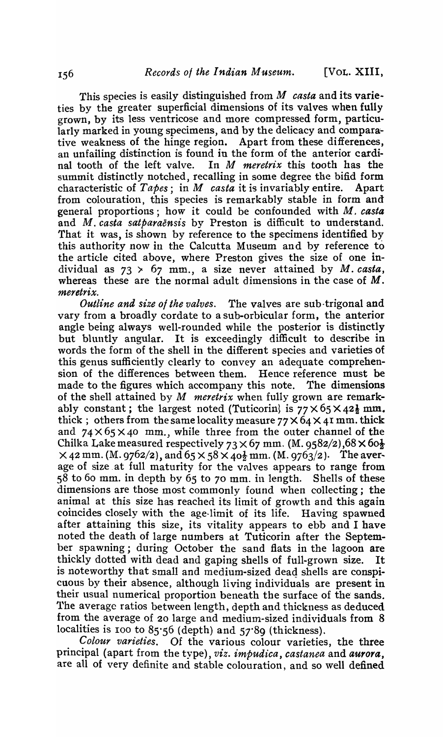This species is easily distinguished from  $M$  *casta* and its varieties by the greater superficial dimensions of its valves when fully grown, by its less ventricose and more compressed form, particularly marked in young specimens, and by the delicacy and comparative weakness of the hinge region. Apart from these differenees, an unfailing distinction is found in the form of the anterior cardinal tooth of the left valve. In *M meretrix* this tooth has the summit distinctly notched, recalling in some degree the bifid form characteristic of *Tapes;* in M *casta* it is invariably entire. Apart from colouration, this species is remarkably stable in form and general proportions; how it could be confounded with M. *casta*  and *M. casta satparaensis* by Preston is difficult to understand. That it was, is shown by reference to the specimens identified by this authority now in the Calcutta Museum and by reference to the article cited above, where Preston gives the size of one individual as  $73 \times 67$  mm., a size never attained by *M. casta*, whereas these are the normal adult dimensions in the case of M. *meretrix.* 

*Outline and size 0/ the valves.* The valves are sub-trigonal and vary from a broadly cordate to a sub-orbicular form, the anterior angle being always well-rounded while the posterior is distinctly but bluntly angular. It is exceedingly difficult to describe in words the form of the shell in the different species and varieties of this genus sufficiently clearly to convey an adequate comprehension of the differences between them. Hence reference must be sion of the differences between them. made to the figures which accompany this note. The dimensions of the shell attained by M *meretrix* when fully grown are remarkably constant; the largest noted (Tuticorin) is  $77 \times 65 \times 42$  mm. thick; others from the same locality measure  $77 \times 64 \times 41$  mm. thick and  $74 \times 65 \times 40$  mm, while three from the outer channel of the Chilka Lake measured respectively  $73 \times 67$  mm. (M. 9582/2),  $68 \times 60\frac{1}{2}$  $\times$  42 mm. (M. 9762/2), and 65  $\times$  58  $\times$  40 $\frac{1}{2}$  mm. (M. 9763/2). The average of size at full maturity for the valves appears to range from 58 to 60 mm. in depth by 65 to 70 mm. in length. Shells of these dimensions are those most commonly found when collecting; the animal at this size has reached its limit of growth and this again coincides closely with the age~limit of its life. Having spawned after attaining this size, its vitality appears to ebb and I have noted the death of large numbers at Tuticorin after the September spawning; during October the sand fiats in the lagoon are thickly dotted with dead and gaping shells of full-grown size. It is noteworthy that small and medium-sized dead shells are conspicuous by their absence, although 1i ving individuals are present in their usual numerical proportion beneath the surface of the sands. The average ratios between length, depth and thickness as deduced from the average of 20 large and medium-sized individuals from 8 localities is 100 to 85.56 (depth) and 57.89 (thickness).

*Colour varieties.* Of the various colour varieties, the three principal (apart from the type), *viz. impudica, castanea* and aurora. are all of very definite and stable colouration, and so well defined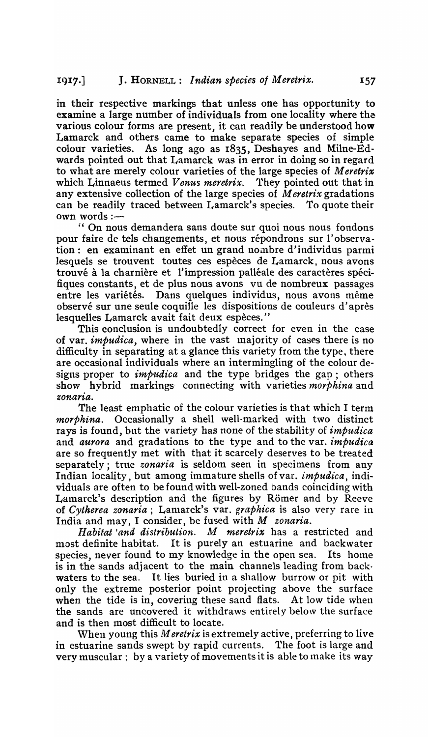in their respective markings that unless one has opportunity to examine a large number of individuals from one locality where the various colour forms are present, it can readily be understood how Lamarck and others came to make separate species of simple colour varieties. As long ago as 1835, Deshayes and Milne-Edwards pointed out that Lamarck was in error in doing so in regard to what are merely colour varieties of the large species of *Meretrix*  which Linnaeus termed *Venus meretrix.* 1'hey pointed out that in any extensive collection of the large species of *Meretrix* gradations can be readily traced between Lamarck's species. To quote their own words:-

" On nous demandera sans doute sur quoi nous nous fondons pour faire de tels changements, et nous répondrons sur l'observation: en examinant en effet un grand nombre d'individus parmi lesquels se trouvent toutes ces espèces de Lamarck, nous avons trouvé à la charnière et l'impression palléale des caractères spécifiques constants, et de plus nous avons vu de nombreux passages entre les variétés. Dans quelques individus, nous avons même observé sur une seule coquille les dispositions de couleurs d'après lesquelles Lamarck avait fait deux espèces."

This conclusion is undoubtedly correct for even in the case of var. *impudica*, where in the vast majority of cases there is no difficulty in separating at a glance this variety from the type, there are occasional individuals where an intermingling of the colour designs proper to *impudica* and the type bridges the gap; others show hybrid markings- connecting with varieties *morphina* and zonaria.

The least emphatic of the colour varieties is that which I term *morphina.* Occasionally a shell well-marked with two distinct rays is found, but the variety has none of the stability of *impudica*  and *aurora* and gradations to the type and to the var. *impudica*  are so frequently met with that it scarcely deserves to be treated separately; true *zonaria* is seldom seen in specimens from any Indian locality, but among immature shells ofvar. *impudica,* individuals are often to be found with well-zoned bands coinciding with Lamarck's description and the figures by Römer and by Reeve of *Cytherea zonaria;* Lanlatck's vat. *graphica* is also very rare in India and may, I consider, be fused with *M zonaria.* 

Habitat *and distribution*. M meretrix has a restricted and most definite habitat. It is purely an estuarine and backwater species, never found to my knowledge in the open sea. Its home is in the sands adjacent to the main channels leading from backwaters to the sea. It lies buried in a shallow burrow or pit with only the extreme posterior point projecting above the surface when the tide is in, covering these sand flats. At low tide when the sands are uncovered it withdraws entirely below the surface and is then most difficult to locate.

When young this *Meretrix* is extremely active, preferring to live in estuarine sands swept by rapid currents. 1'he foot is large and very muscular  $;$  by a variety of movements it is able to make its way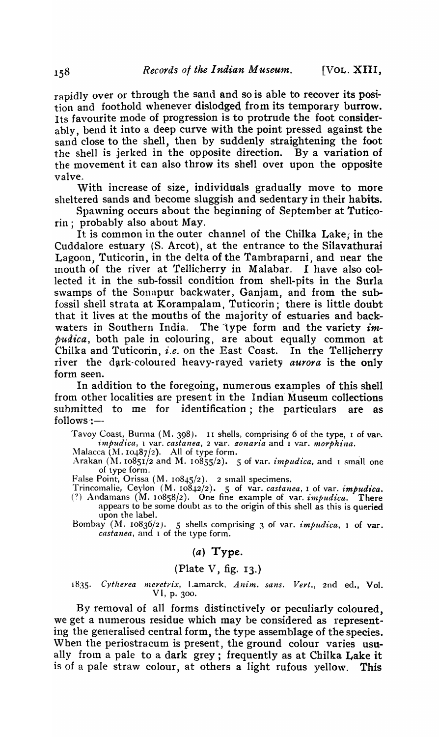rapidly over or through the sand and so is able to recover its position and foothold whenever dislodged from its temporary burrow. Its favourite mode of progression is to protrude the foot considerably, bend it into a deep curve with the point pressed against the sand close to the shell, then by suddenly straightening the foot the shell is jerked in the opposite direction. By a variation of the movement it can also throw its shel1 over upon the opposite valve.

With increase of size, individuals gradually move to more sheltered sands and become sluggish and sedentary in their habits.

Spawning occurs about the beginning of September at Tuticorin; probably also about May.

It is common in the outer channel of the Chilka Lake; in the Cuddalore estuary (S. Arcot), at the entrance to the Silavathurai Lagoon, Tuticorin, in the delta of the Tambraparni and near the mouth of the river at 'Tellicherry in Malabar. I have also collected it in the sub-fossil condition from shell-pits in the Surla swamps of the Sonapur backwater, Ganjam, and from the subfossil shell strata at Korampalam, Tuticorin; there is little doubt that it lives at the mouths of the majority of estuaries and backwaters in Southern India. The type form and the variety *im*pudica, both pale in colouring, are about equally common at Chilka and Tuticorin, *i.e.* on the East Coast. In the Tellicherry river the dark-coloured heavy-rayed variety *aurora* is the only form seen.

In addition to the foregoing, numerous examples of this shell from other localities are present in the Indian Museum collections submitted to me for identification; the particulars are as  $follows:$ 

Tavoy Coast, Burma  $(M. 398)$ . II shells, comprising 6 of the type, 1 of var. *impudica, 1 var. castanea, 2 var. sonaria* and *I var. morphina.* 

:\1alacca (1\L 10487/2). All of type form. .

Arakan  $(M. 10851/2$  and M.  $10855/2$ . 5 of var. *impudica*, and I small one of type form.

False Point, Orissa  $(M. 10845/2)$ . 2 small specimens.

Trincomalie, Ceylon (M. 108~2/2). 5 of var. *castanea,* I of var. *impudica.*   $e$ .) Andamans (M. 10858/2). One fine example of var. *impudica.* There appears to be some doubt as to the origin of this shell as this is queried upon the label.

Bombay (M. 10836/2). 5 shells comprising 3 of var. *impudica*, 1 of var. *castanea,* and 1 of the type form.

### $(a)$  Type.

### (Plate V, fig. 13.)

#### 1835. Cytherea meretrix, Lamarck, Anim. sans. Vert., 2nd ed., Vol. VI, p. 300.

By removal of all forms distinctively or peculiarly coloured, we get a numerous residue which may be considered as representing the generalised central form, the type assemblage of the species. When the periostracum is present, the ground colour varies usually from a pale to a dark grey; frequently as at Chilka Lake it is of a pale straw colour, at others a light rufous yellow. This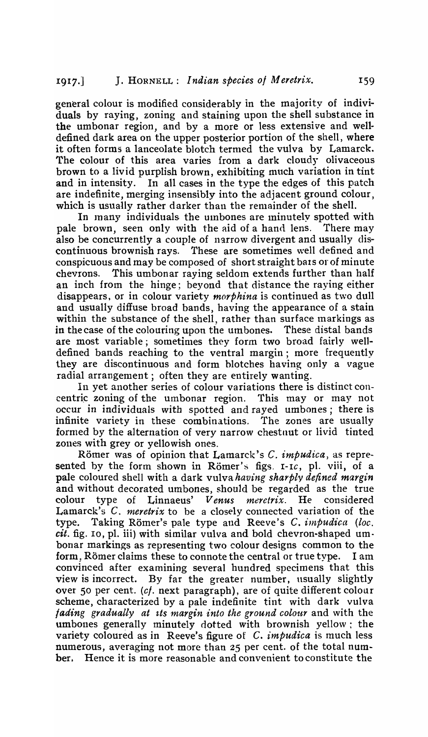general colour is modified considerably in the majority of individuals by raying, zoning and staining upon the shell substance in the umbonar region, and by a more or less extensive and welldefined dark area on the upper posterior portion of the shell, where it often forms a lanceolate blotch termed the vulva by Lamarck. The colour of this area varies from a dark cloudy olivaceous brown to a livid purplish brown, exhibiting much variation in tint and in intensity. In all cases in the type the edges of this patch are indefinite, merging insensibly into the adjacent ground colour, which is usually rather darker than the remainder of the shell.

In many individuals the umbones are minutely spotted with pale brown, seen only with the aid of a hand lens. There may also be concurrently a couple of narrow divergent and usually discontinuous brownish rays. These are sometimes well defined and conspicuous and may be composed of short straight bats or of minute chevrons. This umbonar raying seldom extends further than half an inch from the hinge; beyond that distance the raying either disappears, or in colour variety *morphina* is continued as two dull and usually diffuse broad bands, having the appearance of a stain within the substance of the shell, rather than surface markings as in the case of the colouring upon the umbones. These distal bands are most variable; sometimes they form two broad fairly welldefined bands reaching to the ventral margin; more frequently they are discontinuous and form blotches having only a vague radial arrangement; often they are entirely wanting.

In yet another series of colour variations there is distinct concentric zoning of the umbonar region. This may or may not occur in individuals with spotted and rayed umbones; there is infinite variety in these combinations. The zones are usually formed by the alternation of very narrow chestnut or livid tinted zones with grey or yellowish ones.

Römer was of opinion that Lamarck's C. *impudica*, as represented by the form shown in Römer's figs. *I-Ic*, pl. viii, of a pale coloured shell with a dark vulva *having sharply defined margin*  and without decorated umbones, should be regarded as the true colour type of Linnaeus' *Venus meretrix*. He considered Lamarck's C. *meretrix* to be a closely connected variation of the type. Taking Römer's pale type and Reeve's C. *impudica (loc. cit.* fig. 10, pl. iii) with similar vulva and bold chevron-shaped umbonar markings as representing two colour designs common to the form, Römer claims these to connote the central or true type. I am convinced after examining several hundred specimens that this view is incorrect. By far the greater number, usually slightly over 50 per cent. (cf. next paragraph), are of quite different colour scheme, characterized by a pale indefinite tint with dark vulva *fading gradually at its margin into the ground colour* and with the umbones generally minutely dotted with brownish yellow: the variety coloured as in Reeve's figure of C. *impudica* is much less numerous, averaging not more than 25 per cent. of the total number. Hence it is more reasonable and convenient to constitute the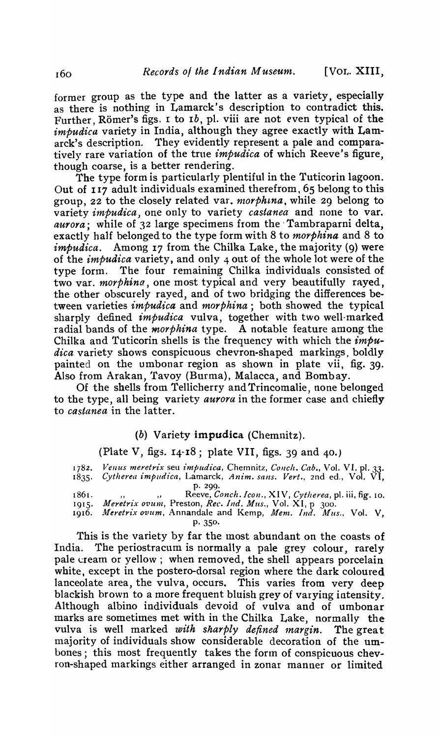[VOL. XIII.

former group as the type and the latter as a variety, especially as there is nothing in Lamarck's description to contradict this. 14'urther, Romer's figs. I to *Ib,* pI. viii are not even typical of the *impudica* variety in India, although they agree exactly with Lamarck's description. They evidently represent a pale and comparatively rare variation of the true *impudica* of which Reeve's figure, though coarse, is a better rendering.

The type form is particularly plentiful in the Tuticorin lagoon. Out of 117 adult individuals examined therefrom. 65 belong to this group, 22 to the closely related var. *morphina*, while 29 belong to variety *impudica*, one only to variety *castanea* and none to var. *aurora;* while of 32 large specimens from the' Tambraparni delta, exactly half belonged to the type form with 8 to *morphina* and 8 to *impudica.* Among 17 from the Chilka Lake, the majority (9) were of the *impudica* variety, and only 4 out of the whole lot were of the type form. The four remaining Chilka individuals consisted of two var. *morphine*, one most typical and very beautifully rayed, the other obscurely rayed, and of two bridging the differences between varieties *impudica* and *morphina;* both showed the typical sharply defined *impudica* vulva, together with two well-marked radial bands of the *morphina* type. A notable feature among the Chilka and Tuticorin shells is the frequency with which the *impudica* variety shows conspicuous chevron-shaped markings, boldly painted on the umbonar region as shown in plate vii, fig. 39. Also from Arakan, 'favoy (Burma), Malacca, and Bombay.

Of the shells from Tellicherry and Trincomalie, none belonged to the type, all being variety *aurora* in the former case and chiefly to *castanea* in the latter.

# (b) Variety impudica (Chemnitz).

(Plate V, figs.  $14 - 18$ ; plate VII, figs. 39 and 40.)

| 1782. | Venus meretrix seu impudica, Chemnitz, Conch. Cab., Vol. VI, pl. 33.<br>1835. Cytherea impudica, Lamarck, Anim. sans. Vert., 2nd ed., Vol. VI, |
|-------|------------------------------------------------------------------------------------------------------------------------------------------------|
|       | p.200.                                                                                                                                         |
| 1861. | ", "Reeve, Conch. Icon., XIV, Cytherea, pl. iii, fig. 10.                                                                                      |
| 1915. | Meretrix ovum, Preston, Rec. Ind. Mus., Vol. XI, p 300.                                                                                        |
|       | 1916. Meretrix ovum, Annandale and Kemp, Mem. Ind. Mus., Vol. V,                                                                               |
|       | p. 350.                                                                                                                                        |

This is the variety by far the most abundant on the coasts of India. The periostracum is normally a pale grey colour, rarely pale cream or yellow; when removed, the shell appears porcelain white, except in the postero-dorsal region where the dark coloured lanceolate area, the vulva, occurs. This varies from very deep blackish brown to a more frequent bluish grey of varying intensity. Although albino individuals devoid of vulva and of umbonar marks are sometimes met with in the Chilka Lake, normally the vulva is well marked with sharply defined margin. The great majority of individuals show considerable decoration of the umbones; this most frequently takes the form of conspicuous chevron-shaped markings either arranged in zonar manner or limited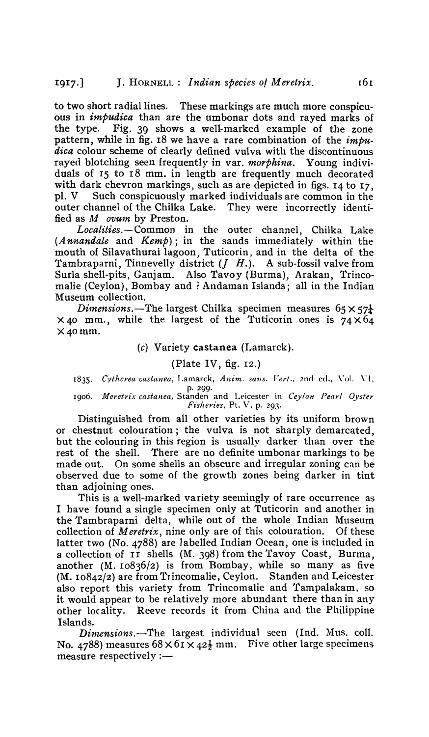to two short radial lines. These markings are much more conspicuous in *impudica* than are the umbonar dots and rayed marks of the type. Fig. 39 shows a well-marked example of the zone pattern, while in fig. 18 we have a rare combination of the *impudica* colour scheme of clearly defined vulva with the discontinuous rayed blotching seen frequently in var. *morphina.* Young individuals of  $15$  to  $18$  mm. in length are frequently much decorated with dark chevron markings, such as are depicted in figs. 14 to 17. pI. V Such conspicuously marked individuals are common in the outer channel of the Chilka Lake. They were incorrectly identified as M *ovum* by Preston.

*Localities.-Common* in the outer channel, Chilka Lake (A *nnandale* and *Kemp);* in the sands immediately within the mouth of Silavathurai lagoon. Tuticorin, and in the delta of the Tambraparni, Tinnevelly district  $(J \ H)$ . A sub-fossil valve from Surla shell-pits, Ganjam. Also Tavoy (Burma), Arakan, Trincomalie (Ceylon), Bombay and? Andaman Islands; all in the Indian Museum collection.

*Dimensions.*—The largest Chilka specimen measures  $65 \times 57\frac{1}{4}$  $\times$  40 mm., while the largest of the Tuticorin ones is 74 $\times$ 64  $\times$  40 mm.

#### $(c)$  Variety castanea (Lamarck).

#### (Plate IV, fig. 12.)

1835. Cytherea castanea, Lamarck, Anim. sans. Vert., 2nd ed., Vol. VI, p. 299.

*1906. Meretrix castanea,* Standen and Leicester in *Ceylon Pearl Oyster Fisheries*, Pt. V, p. 293.

Distinguished from al1 other varieties by its uniform brown or chestnut colouration; the vulva is not sharply demarcated, but the colouring in this region is usually darker than over the rest of the shell. There are no definite umbonar markings to be made out. On some shells an obscure and irregular zoning can be observed due to some of the growth zones being darker in tint than adjoining ones.

This is a well-marked variety seemingly of rare occurrence as I have found a single specimen only at Tuticorin and another in the Tambraparni delta, while out of the whole Indian Museum collection of *Meretrix*, nine only are of this colouration. Of these latter two (No. 4788) are labelled Indian Ocean, one is included in a collection of II shells (M. 398) from the Tavoy Coast, Burma. another (M. 10836/2) is from Bombay, while so many as five  $(M. 10842/2)$  are from Trincomalie, Ceylon. Standen and Leicester also report this variety from Trincomalie and Tampalakam, so it would appear to be relatively more abundant there than in any other locality. Reeve records it from China and the Philippine Islands.

*Dimensions.-The* largest individual seen (Ind. Mus. colI. No. 4788) measures  $68 \times 61 \times 42\frac{1}{2}$  mm. Five other large specimens measure respectively  $:$   $-$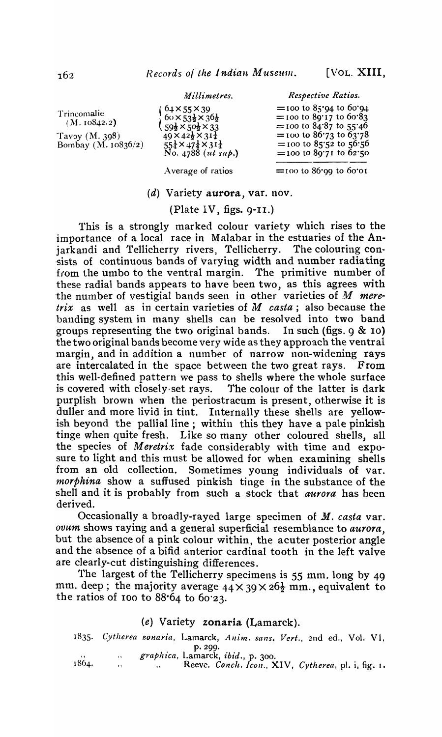*111illimetres.* 

Trincomalie  $(M. 10842.2)$ Tavoy  $(M. 398)$ Bombay (M. 10836/2)  $64 \times 55 \times 39$  $60 \times 53\frac{1}{2} \times 36\frac{1}{2}$  $\sqrt{59\frac{1}{2} \times 50\frac{1}{2} \times 33}$  $49 \times 42\frac{1}{2} \times 31\frac{1}{4}$  $55\frac{1}{4} \times 47\frac{1}{4} \times 31\frac{1}{4}$ No. 4788 *(ut sup.)* 

*Respective Ratios.*   $=$ 100 to 85.94 to 60.94  $=$  100 to  $89.17$  to  $60.83$  $=$  100 to 84.87 to 55.46  $=$  100 to 86.73 to 63.78  $=$  100 to 85.52 to 56.56  $=$  100 to 89'71 to 62'50

Average of ratios

 $=$ 100 to 86.99 to 60.01

# (d) Variety aurora, var. nov.

# (Plate IV, figs. 9-1I.)

This is a strongly marked colour variety which rises to the importance of a local race in Malabar in the estuaries of the Anjarkandi and Tellicherry rivers, Tellicherry. The colouring con sists of continuous bands of varying width and number radiating from the umbo to the ventral margin. The primitive number of these radial bands appears to have been two, as this agrees with the number of vestigial bands seen in other varieties of M mere*trix* as well as in certain varieties of M *casta*; also because the banding system in many shells can be resolved into two band groups representing the two original bands. In such (figs,  $9 \& 10$ ) the two original bands become very wide as they approach the ventral margin, and in addition a number of narrow non-widening rays are intercalated in the space between the two great rays. From this well-defined pattern we pass to shells where the whole surface is covered with closely set rays. The colour of the latter is dark purplish brown when the periostracum is present, otherwise it is duller and more livid in tint. Internally these shells are yellowish beyond the pallial line ; within this they have a pale pinkish tinge when quite fresh. Like so many other coloured shells, all the species of Meretrix fade considerably with time and exposure to light and this must be allowed for when examining shells from an old collection. Sometimes young individuals of var. *morphina* show a suffused pinkish tinge in the substance of the shell and it is probably from such a stock that *aurora* has been derived.

Occasionally a broadly-rayed large specimen of *M. casta* var. *ovum* shows raying and a general superficial resemblance to *aurora,*  but the absence of a pink colour within, the acuter posterior angle and the absence of a bifid anterior cardinal tooth in the left valve are clearly-cut distinguishing differences.

The largest of the Tellicherry specimens is 55 mm. long by 49 mm. deep; the majority average  $44 \times 39 \times 26\frac{1}{2}$  mm., equivalent to the ratios of 100 to  $88.64$  to  $60.23$ .

### (e) Variety zonaria (Lamarck).

*1835. Cytherea zonaria,* Lamarck, *Anim. sans. Vert.,* 2nd ed., Vol. VI, P·299·

<sup>"</sup> *graphica*, Lamarck, *ibid.*, p. 300.<br>Reeve, Canch Ican

1964. " Reeve, *Conch. Icon.*, XIV, *Cytherea*, pl. i, fig. 1.

162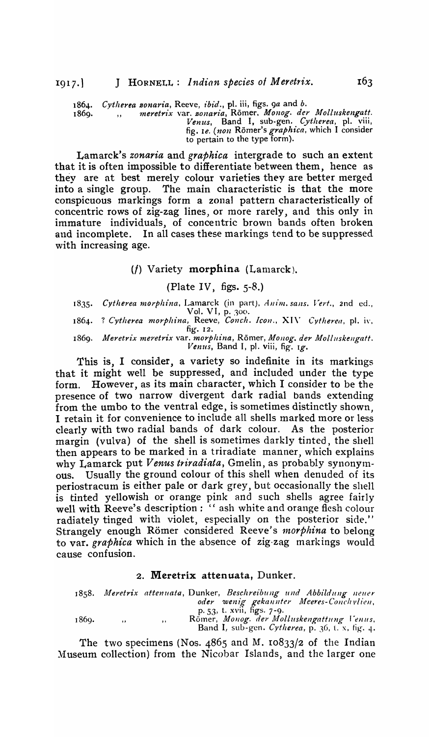1864. *Cytherea sonaria*, Reeve, *ibid.*, pl. iii, figs. 9a and b.

1869. " *meretrix* var. *sonaria,* Romer. *Monog. dey Molluskengatt.*  Venus, Band I, sub-gen. Cytherea, pl. viii, fig. *Ie. (non Römer's graphica*, which I consider to pertain to the type form).

Lamarck's *zonaria* and *graphica* intergrade to such an extent that it is often impossible to differentiate between them, hence as they are nt best merely colour varieties they are better merged into a single group. The main characteristic is that the more conspicuous markings form a zonal pattern characteristically of concentric rows of zig-zag lines, or more rarely, and this only in immature individuals, of concentric brown bands often broken and incomplete. In all cases these markings tend to be suppressed with increasing age.

 $(f)$  Variety morphina (Lamarck).

(Plate IV, figs.  $5-8$ .)

1835. Cytherea morphina, Lamarck (in part), Anim. sans. Vert., 2nd ed., Vol. VI, p. 300.

1864. ? *Cytherea morpkina,* Reeve, *Conch. Icon.,* XI\, *Cytherea,* pI. i\·, fig. 12.

1869. Meretrix meretrix var. *morphina*, Römer, Monog. der Molluskengatt. *Venus,* Band I, pI. viii, fig. Ig.

This is, I consider, a variety so indefinite in its markings that it might well be suppressed, and included under the type form. However, as its main character, which I consider to be the presence of two narrow divergent dark radial bands extending from the umbo to the ventral edge, is sometimes distinctly shown, I retain it for convenience to include all shells marked more or less clearly with two radial bands of dark colour. As the posterior margin (vulva) of the shell is sometimes darkly tinted, the shell then appears to be marked in a triradiate manner, which explains why Lamarck put *Venus triradiata*, Gmelin, as probably synonymous. Usually the ground colour of this shell when denuded of its periostracum is either pale or dark grey, but occasionally the shell is tinted yellowish or orange pink and such shells agree fairly well with Reeve's description: " ash white and orange flesh colour radiately tinged with violet, especially on the posterior side." Strangely enough Römer considered Reeve's *morphina* to belong to var. *graphica* which in the absence of zig-zag markings would cause confusion.

### 2. Meretrix attenuata, Dunker.

1858. Meretrix attenuata, Dunker, *Beschreibung und Abbildung neuer* oder wenig gekannter Meeres-Conchylien, P.53, t. XVII, figs. 7 -9· Romer, *Monog. der Molluskengattung Venus*,<br>Band I, sub-gen. *Cytherea*, p. 36, t. x, tig. 4. 1869. "

The two specimens (Nos. 4865 and M. 10833/2 of the Indian Museum collection) from the Nicobar Islands, and the larger one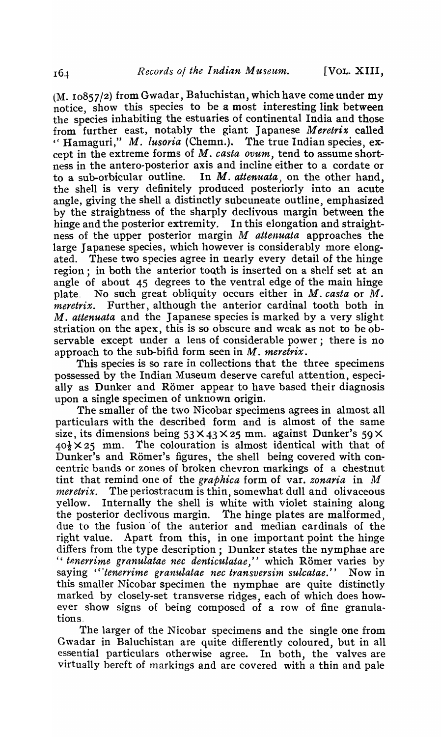(M. 10857/2) from Gwadar, Baluchistan, which have come under my notice, show this species to be a most interesting link between the species inhabiting the estuaries of continental India and those from further east, notably the giant Japanese *Meretrix* called "Hamaguri," M. *lusoria* (Chemn.). The true Indian species, except in the extreme forms of *M. casta ovum,* tend to assume shortness in the antero-posterior axis and incline either to a cordate or to a sub-orbicular outline. In  $M$ . *attenuata*, on the other hand. In M. *attenuata*, on the other hand, the shell is very definitely produced posteriorly into an acute angle, giving the shell a distinctly subcuneate outline, emphasized by the straightness of the sharply declivous margin between the hinge and the posterior extremity. In this elongation and straightness of the upper posterior margin *M attenuata* approaches the large Japanese species, which however is considerably more elongated. These two species agree in nearly every detail of the hinge region; in both the anterior tooth is inserted on a shelf set at an angle of about 45 degrees to the ventral edge of the main hinge plate. No such great obliquity occurs either in *M. casta* or *M. meretrix*. Further, although the anterior cardinal tooth both in M. *attenuata* and the Japanese species is marked by a very slight striation on the apex, this is so obscure and weak as not to be observable except under a lens of considerable power; there is no approach to the sub-bifid form seen in *M. meretrix.* 

This species is so rare in collections that the three specimens possessed by the Indian Museum deserve careful attention, especially as Dunker and Römer appear to have based their diagnosis upon a single specimen of unknown origin.

The smaller of the two Nicobar specimens agrees in almost all particulars with the describeq form and is almost of the same size, its dimensions being  $53 \times 43 \times 25$  mm. against Dunker's  $59 \times$  $40\frac{1}{2} \times 25$  mm. The colouration is almost identical with that of Dunker's and Römer's figures, the shell being covered with concentric bands or zones of broken chevron markings of a chestnut tint that remind one of the *graphica* form of var. *zonaria* in *M meretrix.* The periostracum is thin, somewhat dull and olivaceous yellow. Internally the shell is white with violet staining along the posterior declivous margin. The hinge plates are malformed, due to the fusion' of the anterior and median cardinals of the right value. Apart from this, in one important point the hinge differs from the type description; Dunker states the nymphae are " *tenerrime granulatae nec denticulatae*," which Römer varies by saying "'tenerrime granulatae nec transversim sulcatae.'' Now in this smaller Nicobar specimen the nymphae are quite distinctly marked by closely-set transverse ridges, each of which does however show signs of being composed of a row of fine granulations.

The larger of the Nicobar specimens and the single one from Gwadar in Baluchistan are quite differently coloured, but in all essential particulars otherwise agree. In both, the valves are virtually bereft of markings and are covered with a thin and pale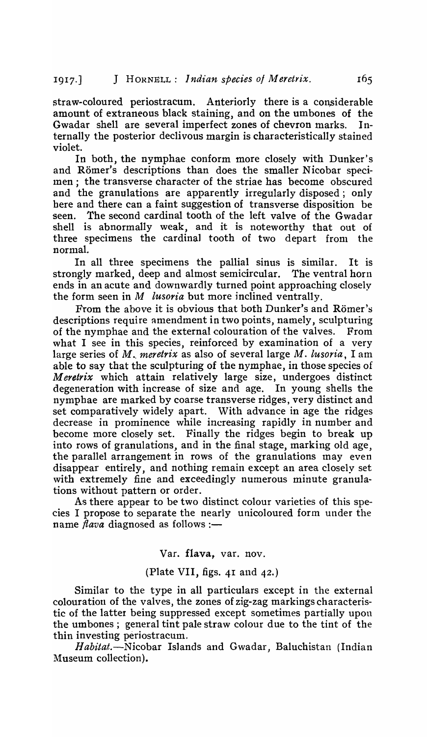straw-coloured periostracum. Anteriorly there is a considerable amount of extraneous black staining, and on the umbones of the Gwadar shell are several imperfect zones of chevron marks. Internally the posterior declivous margin is characteristically stained violet.

In both, the nymphae conform more closely with Dunker's and Römer's descriptions than does the smaller Nicobar specimen; the transverse character of the striae has become obscured and the granulations are apparently irregularly disposed; only here and there can a faint suggestion of transverse disposition be seen. The second cardinal tooth of the left valve of the Gwadar shell is abnormally weak, and it is noteworthy that out of three specimens the cardinal tooth of two depart from the normal.

In all three specimens the pallial sinus is similar. It is strongly marked, deep and almost semicircular. The ventral horn ends in an acute and downwardly turned point approaching closely the form seen in *M lusoria* but more inclined ventrally.

From the above it is obvious that both Dunker's and Römer's descriptions require amendment in two points, namely, sculpturing of the nymphae and the external colouration of the valves. From what I see in this species, reinforced by examination of a very large series of M, *meretrix* as also of several large M. *lusoria*, I am able to say that the sculpturing of the nymphae, in those species of *Meretrix* which attain relatively large size, undergoes distinct degeneration with increase of size and age. In young shells the nymphae are marked by coarse transverse ridges, very distinct and set comparatively widely apart. With advance in age the ridges decrease in prominence while increasing rapidly in number and become more closely set. Finally the ridges begin to break up into rows of granulations, and in the final stage, marking old age, the parallel arrangement in rows of the granulations tnay even disappear entirely, and nothing remain except an area closely set with extremely fine and exceedingly numerous minute granulations without pattern or order.

As there appear to be two distinct colour varieties of this species I propose to separate the nearly unicoloured form under the name  $flava$  diagnosed as follows :-

#### Var. flava, var. nov.

### (Plate VII, figs. 41 and 42.)

Similar to the type in all particulars except in the external colouration of the valves, the zones of zig-zag markings characteristic of the latter being suppressed except sometimes partially upon the umbones; general tint pale straw colour due to the tint of the thin investing periostracum.

Habitat.-Nicobar Islands and Gwadar, Baluchistan (Indian Museum collection).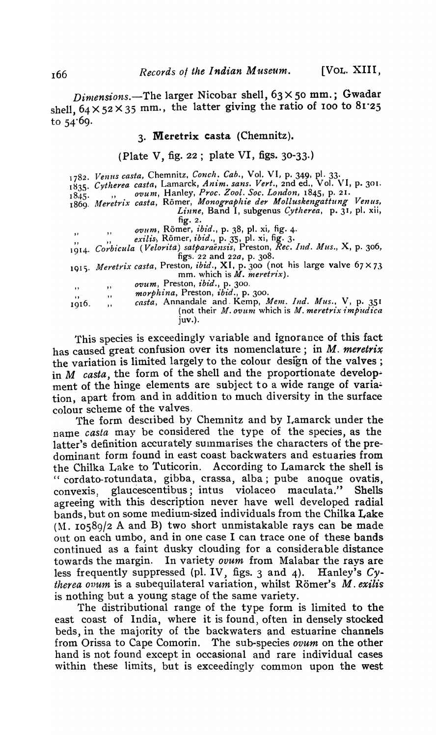*Dimensions.*-The larger Nicobar shell, 63×50 mm.; Gwadar shell,  $64 \times 52 \times 35$  mm., the latter giving the ratio of 100 to  $81.25$ to 54'69·

### 3. Meretrix casta (Chemnitz).

(Plate V, fig. 22; plate VI, figs.  $30-33$ .)

|              | 1782. Venus casta, Chemnitz, Conch. Cab., Vol. VI, p. 349, pl. 33.           |
|--------------|------------------------------------------------------------------------------|
|              | 1835. Cytherea casta, Lamarck, Anim. sans. Vert., 2nd ed., Vol. VI, p. 301.  |
| 1845.        | ovum, Hanley, Proc. Zool. Soc. London, 1845, p. 21.                          |
|              | 1869. Meretrix casta, Römer, Monographie der Molluskengattung Venus,         |
|              | Linne, Band I, subgenus Cytherea, p. 31, pl. xii,                            |
|              | fig. 2.                                                                      |
| $\mathbf{H}$ | ovum, Römer, ibid., p. 38, pl. xi, fig. 4.                                   |
|              | exilis, Römer, ibid., p. 35, pl. xi, fig. 3.                                 |
|              | 1914. Corbicula (Velorita) satparaensis, Preston, Rec. Ind. Mus., X, p. 306, |
|              | figs. 22 and $22a$ , p. 308.                                                 |
|              | 1915. Meretrix casta, Preston, ibid., XI, p. 300 (not his large valve 67×73  |
|              | mm. which is <i>M. meretrix</i> ).                                           |
|              | <i>ovum</i> , Preston, <i>ibid.</i> , p. 300.                                |
| , ,          | ,,<br><i>morphina</i> , Preston, <i>ibid.</i> , p. 300.                      |
| $\cdots$     | $, \,$<br>casta, Annandale and Kemp, Mem. Ind. Mus., V, p. 351               |
| 1916.        | $, \,$<br>(not their $M$ . ovum which is $M$ . meretrix impudica<br>1uv.).   |
|              |                                                                              |

This species is exceedingly variable and ignorance of this fact has caused great confusion over its nomenclature; in M. meretrix the variation is limited largely to the colour design of the valves; in M *casta,* the form of the shell and the proportionate development of the hinge elements are subject to a wide range of variation, apart from· and in addition to much diversity in the surface colour scheme of the valves,

The form described by Chemnitz and by Lamarck under the name *casta* may be considered the type of the species, as the latter's definition accurately summarises the characters of the predominant form found in east coast backwaters and estuaries from the Chilka Lake to Tuticorin. According to Lamarck the shell is "cordato-rotundata, gibba, crassa, alba; pube anoque ovatis, convexis, glaucescentibus; intus violaceo maculata." Shells agreeing with this description never have well developed radial bands, but on some tnediutn-sized individuals from the Chilka Lake  $(M. 10589/2$  A and B) two short unmistakable rays can be made ont on each umbo, and in one case I can trace one of these bands continued as a faint dusky clouding for a considerable distance towards the margin. In variety *ovum* from Malabar the rays are less frequently suppressed (pI. IV, figs. 3 and 4). Hanley's *Cytherea ovum* is a subequilateral variation, whilst Romer's M. *exilis*  is nothing but a young stage of the same variety.

The distributional range of the type form is limited to the east coast of India, where it is found, often in densely stocked beds, in the majority of the backwaters and estuarine channels from Orissa to Cape Comorin. The sub-species *ovum* on the other hand is not found except in occasional and rare individual cases within these limits, but is exceedingly common upon the west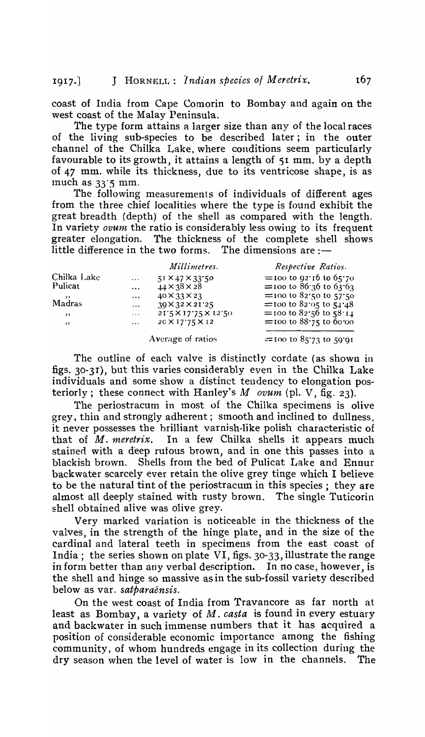coast of India from Cape Comorin to Bombay and again on the west coast of the Malay Peninsula.

The type form attains a larger size than any of the local races of the living sub-species to be described later; in the outer channel of the Chilka Lake, where conditions seem particularly favourable to its growth, it attains a length of 51 mm. by a depth of 47 mm. while its thickness, due to its ventricose shape, is as much as  $33'5$  mm.

The following measurements of individuals of different ages from the three chief localities where the type is found exhibit the great breadth (depth) of the shell as compared with the length, In variety *ovum* the ratio is considerably less owing to its frequent greater elongation. The thickness of the complete shell shows little difference in the two forms. The dimensions are  $:$   $-$ 

|             |          | Millimetres.                | Respective Ratios.             |
|-------------|----------|-----------------------------|--------------------------------|
| Chilka Lake | $\cdots$ | $51 \times 47 \times 33.50$ | $=$ 100 to 92.16 to 65.70      |
| Pulicat     | $\cdots$ | $44 \times 38 \times 28$    | $=$ 100 to 86.36 to 63.63      |
|             | $\cdots$ | $40 \times 33 \times 23$    | $=$ 100 to 82.50 to 57.50      |
| Madras      | $\cdots$ | $39 \times 32 \times 21$ 25 | = 100 to 82.05 to $54.48$      |
| , ,         | $\cdots$ | 21'5×17'75×12'50            | = $100$ to $82.56$ to $58.14$  |
| , ,         | $\cdots$ | $20 \times 17'75 \times 12$ | $=$ 100 to 88.75 to 60.00      |
|             |          | Average of ratios           | $\equiv$ 100 to 85'73 to 59'91 |

The outline of each valve is distinctly cordate (as shown in figs. 30-3r), but this varies considerably even in the Chilka Lake individuals and some show a distinct tendency to elongation posteriorly; these connect with Hanley's *M ovum* (pI. V, fig, 23),

The periostracum in most of the Chilka specimens is olive grey, thin and strongly adherent; smooth and inclined to dullness, it never possesses the brilliant varnish-like polish characteristic of that of *M. meretrix*. In a few Chilka shells it appears much stained with a deep rufous brown, and in one this passes into a blackish brown. Shells from the bed of Pulicat Lake and Ennur backwater scarcely ever retain the olive grey tinge \vhich I believe to be the natural tint of the periostracum in this species; they are almost all deeply stained with rusty brown. The single Tuticorin shell obtained alive was olive grey.

Very marked variation is noticeable in the thickness of the valves, in the strength of the hinge plate, and in the size of the cardinal and lateral teeth in specimens from the east coast of India; the series shown on plate VI, figs. 30-33, illustrate the range in form better than any verbal description. In no case, however, is the shell and hinge so massive as in the sub-fossil variety described below as var, *satparaensis,* 

On the west coast of India from Travancore as far north at least as Bombay, a variety of M. *casta* is found in every estuary and backwater in such immense numbers that it has acquired a position of considerable economic importance among the fishing community, of whom hundreds engage in its collection during the dry season when the level of water is low in the channels. The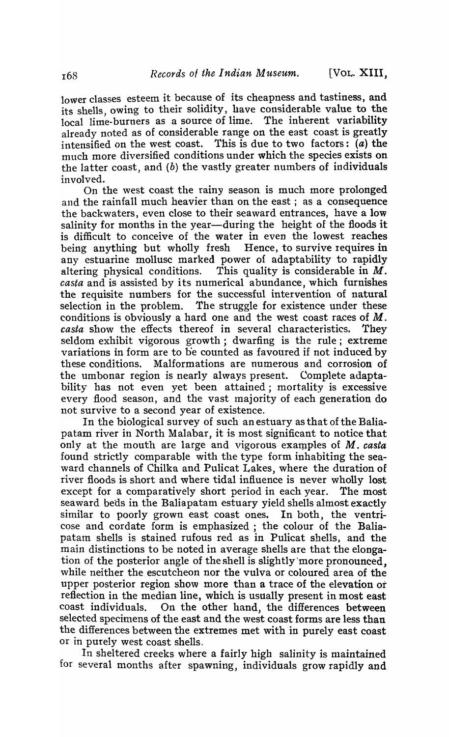lower classes esteem it because of its cheapness and tastiness, and its shells owing to their solidity, have considerable value to the local lim'e-burners as a source of lime. The inherent variability already noted as of considerable range on the east coast is greatly intensified on the west coast. This is due to two factors:  $\overline{a}$ ) the much more diversified conditions under which the species exists on the latter coast, and  $(b)$  the vastly greater numbers of individuals involved.

On the west coast the rainy season is much more prolonged and the rainfall much heavier than on the east; as a consequence the backwaters, even close to their seaward entrances, have a low salinity for months in the year—during the height of the floods it is difficult to conceive of the water in even the lowest reaches<br>being anything but wholly fresh Hence, to survive requires in being anything but wholly fresh any estuarine mollusc marked power of adaptability to rapidly altering physical conditions. This quality is considerable in  $M$ . This quality is considerable in  $M$ . *casta* and is assisted by its numerical abundance, which furnishes the requisite numbers for the successful intervention of natural selection in the problem. The struggle for existence under these conditions is obviously a hard one and the west coast races of M. casta show the effects thereof in several characteristics. They seldom exhibit vigorous growth; dwarfing is the rule; extreme variations in form are to b'e counted as favoured if not induced by these conditions. Malformations are numerous and corrosion of the umbonar region is nearly always present. Complete adaptability has not even yet been attained; mortality is excessive every flood season, and the vast Inajority of each generation do not survive to a second year of existence.

In the biological survey of such an estuary as that of the Baliapatam river in North Malabar, it is most significant to notice that only at the mouth are large and vigorous examples of M. *casta*  found strictly comparable with the type form inhabiting the seaward channels of Chilka and Pulicat Lakes, where the duration of river floods is short and where tidal influence is never wholly lost except for a comparatively short period in each year. The most seaward beds in the Baliapatam estuary yield shells almost exactly similar to poorly grown east coast ones. In both, the ventricose and cordate form is emphasized ; the colour of the Baliapatam shells is stained rufous red as in Pulicat shells, and the main distinctions to be noted in average shells are that the elongation of the posterior angle of the shell is slightly 'more pronounced, while neither the escutcheon nor the vulva or coloured area of the upper posterior region show more than a trace of the elevation ot reflection in the median line, which is usually present in most east coast individuals. On the other hand, the differences between selected specimens of the east and the west coast forms are less than the differences between the extremes met with in purely east coast or in purely west coast shells.

In sheltered creeks where a fairly high salinity is maintained for several months after spawning, individuals grow rapidly and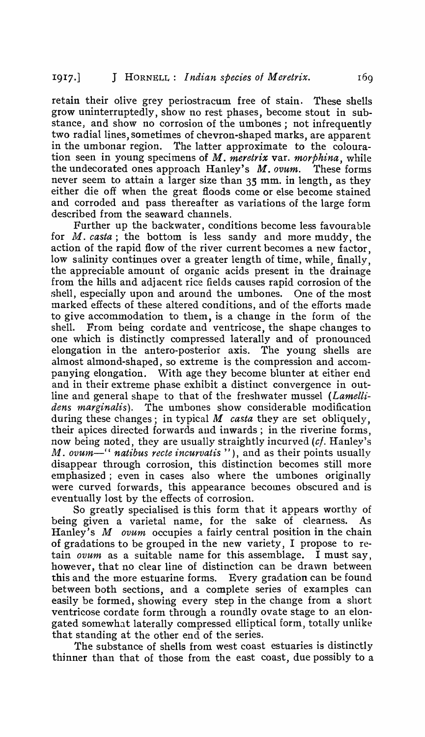retain their olive grey periostracum free of stain. These shells grow uninterruptedly, show no rest phases, become. stout in substance, and show no corrosion of the umbones; not infrequently two radial lines, sometimes of chevron-shaped marks, are apparent in the umbonar region. The latter approximate to the colouration seen in young specimens of M. *meretrix* var. *morphina,* while the undecorated ones approach Hanley's M. *ovum.* These forms never seem to attain a larger size than 35 mm. in length, as they either die off when the great floods come or else become stained and corroded and pass thereafter as variations of the large form described from the seaward channels.

Further up the backwater, conditions become less favourable for M. *casta;* the bottom is less sandy and more muddy, the action of the rapid flow of the river current becomes a new factor, low salinity continues over a greater length of time, while, finally, the appreciable amount of organic acids present in the drainage from the hills and adjacent rice fields causes rapid corrosion of the shell, especially upon and around the umbones. One of the most marked effects of these altered conditions, and of the efforts made to give accommodation to them, is a change in the fonn of the shell. From being cordate and ventricose, the shape changes to one which is distinctly compressed laterally and of pronounced elongation in the antero-posterior axis. The young shells are almost almond-shaped, so extreme is the compression and accompanying elongation. With age they become blunter at either end and in their extreme phase exhibit a distinct convergence in outline and general shape to that of the freshwater mussel *(Lamellidens marginalis).* The umbones show considerable modification during these changes; in typical *M casta* they are set obliquely, their apices directed forwards and inwards; in the riverine forms, now being noted, they are usually straightly incurved (cf. Hanley's M. *ovum*—" natibus recte incurvatis "), and as their points usually disappear through corrosion, this distinction becomes still more emphasized; even in cases also where the umbones originally were curved forwards, this appearance becomes obscured and is eventually lost by the effects of corrosion.

So greatly specialised is this form that it appears worthy of being given a varietal name, for the sake of clearness. As Hanley's M ovum occupies a fairly central position in the chain of gradations to be grouped in the new variety, I propose to retain *ovum* as a suitable name for this assemblage. I must say, however, that no clear line of distinction can be drawn between this and the more estuarine forms. Every gradation can be found between both sections, and a complete series of examples can easily be formed, showing every step in the change from a short ventricose cordate form through a roundly ovate stage to an elongated somewhat laterally compressed elliptical form, totally unlike that standing at the other end of the series.

The substance of shells from west coast estuaries is distinctly thinner than that of those from the east coast, due possibly to a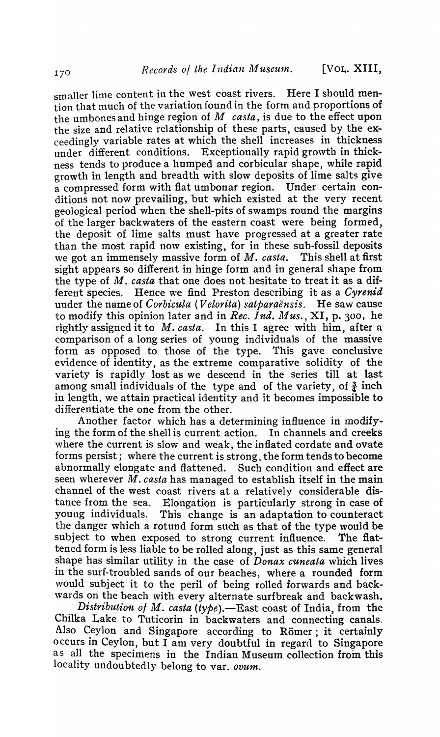smaller lime content in the west coast rivers. Here I should mention that much of the variation found in the form and proportions of the umbones and hinge region of *M casta,* is due to the effect upon the size and relative relationship of these parts, caused by the exceedingly variable rates at which the shell increases in thickness under different conditions. Exceptionally rapid growth in thickness tends to produce a humped and corbicular shape, while rapid growth in length and breadth with slow deposits of lime salts give a compressed form with flat umbonar region. Under certain conditions not now prevailing, but which existed at the very recent geological period when the shell-pits of swamps round the margins of the larger backwaters of the eastern coast were being formed, the deposit of lime salts must have progressed at a greater rate than the most rapid now existing, for in these sub-fossil deposits \ve got an immensely massive form of M. *casta.* This shell at first sight appears so different in hinge form and in general shape from the type of M. *casta* that one does not hesitate to treat it as a different species. Hence \ve find Preston describing it as a *Cyrenid*  under the name of *Corbicula (Velorita) satparaensis.* He saw cause to modify this opinion later and in *Rec. Ind. Mus.,* XI, p. 300, he rightly assigned it to M. *casta.* In this I agree with him, after a comparison of a long series of young individuals of the massive form as opposed to those of the type. This gave conclusive evidence of identity, as the extreme comparative solidity of the variety is rapidly lost as we descend in the series till at last among small individuals of the type and of the variety, of  $\frac{3}{4}$  inch in length, we attain practical identity and it becomes impossible to differentiate the one from the other.

Another factor which has a determining influence in modifying the form of the shell is current action. In channels and creeks where the current is slow and weak, the inflated cordate and ovate forms persist; where the current is strong, the form tends to become abnormally elongate and flattened. Such. condition and effect are seen wherever M. *casta* has managed to establish itself in the main channel of the west coast rivers at a relatively considerable distance from the sea. Elongation is particularly strong in case of young individuals. This change is an adaptation to counteract the danger which a rotund form such as that of the type would be subject to when exposed to strong current influence. The flattened form is less liable to be rolled along, just as this same general shape has similar utility in the case of *Donax cuneata* which lives in the surf-troubled sands of our beaches, where a rounded form would subject it to the peril of being rolled forwards and backwards on the beach with every alternate surfbreak and backwash.

*Distribution of M. casta (type).*—East coast of India, from the Chilka Lake to Tuticorin in backwaters and connecting canals. Also Ceylon and Singapore according to Römer; it certainly occurs in Ceylon, but I anl very doubtful in regard to Singapore as all the specimens in the Indian Museum collection from this locality undoubtedly belong to var. *ovum.*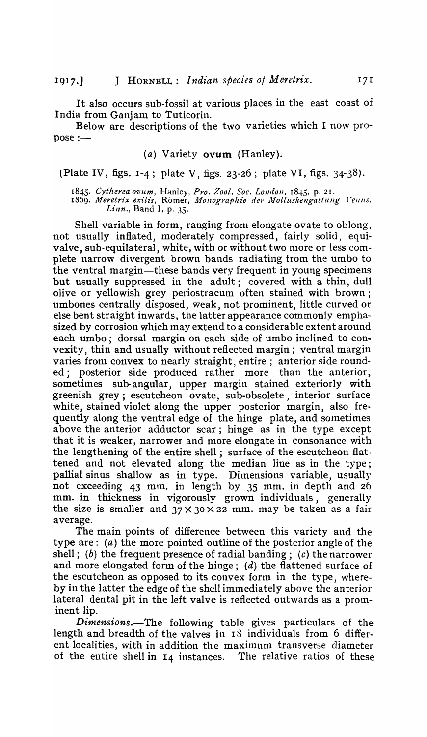It also occurs sub-fossil at various places in the east coast of India from Ganjam to Tuticorin.

Below are descriptions of the two varieties which I now pro $pose :=$ 

# (a) Variety ovum (Hanley).

(Plate IV, figs.  $1-4$ ; plate V, figs.  $23-26$ ; plate VI, figs.  $34-38$ ).

1845. Cytherea ovum, Hanley, Pro. Zool. Soc. London, 1845, p. 21.

1869. Meretrix exilis, Römer, *Monographie der Molluskengattung Venus. Linn.,* Band I, p. 35.

Shell variable in form, ranging from elongate ovate to oblong, not usually inflated, moderately compressed, fairly solid, equivalve, sub-equilateral, white, with or without two more or less complete narrow divergent brown bands radiating from the umbo to the ventral margin-these bands very frequent in young specimens but usually suppressed in the adult; covered with a thin, dull olive or yellowish grey periostracum often stained with brown; umbones centrally disposed, weak, not prominent, little curved or else bent straight inwards, the latter appearance commonly emphasized by corrosion which may extend to a considerable extent around each umbo; dorsal margin on each side of umbo inclined to convexity, thin and usually without reflected margin; ventral margin varies from convex to nearly straight, entire; anterior side rounded; posterior side produced rather more than the anterior. ed; posterior side produced rather sometimes sub-angular, upper margin stained exteriorly with greenish grey; escutcheon ovate, sub-obsolete interior surface white, stained violet along the upper posterior margin, also frequently along the ventral edge of the hinge plate, and sometimes above the anterior adductor scar; hinge as in the type except that it is weaker, narrower and more elongate in consonance with the lengthening of the entire shell; surface of the escutcheon flattened and not elevated along the median line as in the type; pallial sinus shallow as in type. Dimensions variable, usually not exceeding 43 mm. in length by 35 mm. in depth and 26 mm. in thickness in vigorously grown individuals, generally the size is smaller and  $37 \times 30 \times 22$  mm. may be taken as a fair average.

The main points of difference between this variety and the type are: (a) the more pointed outline of the posterior angle of the shell; (b) the frequent presence of radial banding; (c) the narrower and more elongated form of the hinge;  $(d)$  the flattened surface of the escutcheon as opposed to its convex form in the type, whereby in the latter the edge of the shell immediately above the anterior lateral dental pit in the left valve is reflected outwards as a prominent lip.

*Dimensions.-The* following table gives particulars of the length and breadth of the valves in 18 individuals from 6 different localities, with in addition the maximum transverse diameter of the entire shell in 14 instances. The relative ratios of these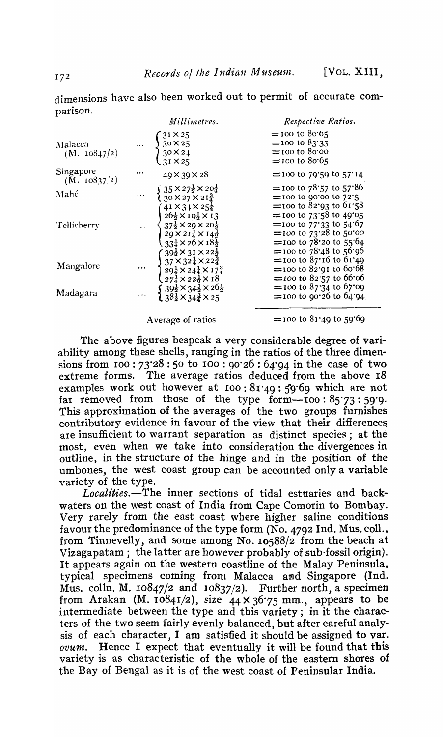|                          | Millimetres.                                                                                                                                                                                                                                                   | Respective Ratios.                                                                                                      |
|--------------------------|----------------------------------------------------------------------------------------------------------------------------------------------------------------------------------------------------------------------------------------------------------------|-------------------------------------------------------------------------------------------------------------------------|
| Malacca<br>(M. 10847/2)  | $\begin{cases} 3^{1} \times 25 \\ 30 \times 25 \\ 30 \times 24 \\ 31 \times 25 \end{cases}$                                                                                                                                                                    | $=$ 100 to 80.65<br>= $100 \text{ to } 83'33$<br>$=$ 100 to 80.00<br>$=$ 100 to 80.65                                   |
| Singapore $(M. 10837/2)$ | $49 \times 39 \times 28$                                                                                                                                                                                                                                       | $=$ 100 to 79.59 to 57.14                                                                                               |
| Mahé                     | $\cdots \begin{cases} 35 \times 27\frac{1}{2} \times 20\frac{1}{4} \\ 30 \times 27 \times 21\frac{3}{4} \end{cases}$<br>$(41 \times 31 \times 25\frac{1}{4})$                                                                                                  | = $100 \text{ to } 78.57 \text{ to } 57.86$<br>$=$ 100 to 90'00 to 72'5<br>$\equiv$ 100 to 82.93 to 61.58               |
| Tellicherry              | $\begin{array}{c}\n\begin{array}{c}\n26\frac{1}{2} \times 10\frac{1}{2} \times 13 \\ 37\frac{1}{2} \times 29 \times 20\frac{1}{2} \\ 29 \times 21\frac{1}{4} \times 14\frac{1}{2}\n\end{array}\n\end{array}$<br>$33\frac{1}{4} \times 26 \times 18\frac{1}{2}$ | $\equiv$ 100 to 73.58 to 49°05<br>=100 to 77.33 to 54.67<br>$\equiv$ 100 to 73.28 to 50.00<br>$=$ 100 to 78.20 to 55.64 |
| Mangalore                | $\cdots \begin{cases} 39\frac{1}{2} \times 31 \times 22\frac{1}{2} \\ 37 \times 32\frac{1}{4} \times 22\frac{3}{4} \\ 29\frac{1}{4} \times 24\frac{1}{4} \times 17\frac{3}{4} \\ 27\frac{1}{4} \times 22\frac{1}{2} \times 18 \end{cases}$                     | $=$ 100 to 78.48 to 56.96<br>$=$ 100 to 87.16 to 61.49<br>$\equiv$ 100 to 82.91 to 60.68<br>$=$ 100 to 82.57 to 66.06   |
| Madagara                 | $\begin{cases} 39\frac{1}{2} \times 34\frac{1}{2} \times 26\frac{1}{2} \\ 38\frac{1}{2} \times 34\frac{3}{2} \times 25 \end{cases}$                                                                                                                            | $=$ 100 to 87.34 to 67.09<br>$=$ 100 to 90.26 to 64.94.                                                                 |
|                          |                                                                                                                                                                                                                                                                |                                                                                                                         |

dimensions have also been worked out to permit of accurate comparison,

Average of ratios

The above figures bespeak a very considerable degree of variability among these shells, ranging in the ratios of the three dimensions from roo: 73"28 : 50 to 100 : 90"26 : 64'94 in the case of two extreme forms, The average ratios deduced from the above 18 examples work out however at roo: 81'49 : 59"69 which are not far removed from those of the type  $form - 100 : 85'73 : 59'9$ . This approximation of the averages of the two groups furnishes contributory evidence in favour of the view that their differences are insufficient to warrant separation as distinct species; at the most, even when we take into consideration the divergences in outline, in the structure of the hinge and in the position of the umbones, the west coast group can be accounted only a variable variety of the type.

Localities.-The inner sections of tidal estuaries and backwaters on the west coast of India from Cape Comorin to Bombay. Very rarely from the east coast where higher saline conditions favour the predominance of the type form (No. 4792 Ind. Mus. coll., from Tinnevelly, and some among No. 10588/2 from the beach at Vizagapatam; the latter are however probably of sub-fossil origin). It appears again on the western coastline of the Malay Peninsula, typical specimens coming from Malacca and Singapore (Ind. Mus, colln. M.  $10847/2$  and  $10837/2$ ). Further north, a specimen from Arakan (M.  $10841/2$ ), size  $44 \times 36.75$  mm., appears to be intermediate between the type and this variety; in it the characters of the two seem fairly evenly balanced, but after careful analysis of each character, I am satisfied it should be assigned to var. *ovum.* Hence I expect that eventually it will be found that this variety is as characteristic of the whole of the eastern shores of the Bay of Bengal as it is of the west coast of Peninsular India.

 $=$  100 to 81.49 to 59.69